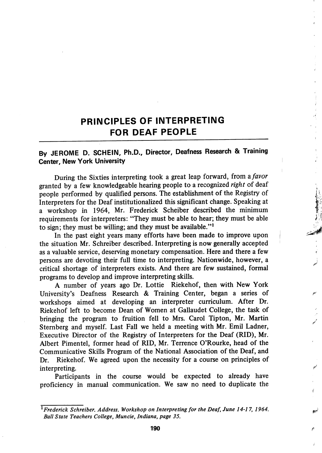## PRINCIPLES OF INTERPRETING FOR DEAF PEOPLE

## By JEROME D. SCHEIN, Ph.D., Director, Deafness Research & Training Center, New York University

During the Sixties interpreting took a great leap forward, from a favor granted by a few knowledgeable hearing people to a recognized right of deaf people performed by qualified persons. The establishment of the Registry of Interpreters for the Deaf institutionalized this significant change. Speaking at a workshop in 1964, Mr. Frederick Scheiber described the minimum requirements for interpreters: "They must be able to hear; they must be able to sign; they must be willing; and they must be available." $1$ 

In the past eight years many efforts have been made to improve upon the situation Mr. Schreiber described. Interpreting is now generally accepted as a valuable service, deserving monetary compensation. Here and there a few persons are devoting their full time to interpreting. Nationwide, however, a j critical shortage of interpreters exists. And there are few sustained, formal programs to develop and improve interpreting skills.

A number of years ago Dr. Lottie Riekehof, then with New York University's Deafness Research & Training Center, began a series of workshops aimed at developing an interpreter curriculum. After Dr. Riekehof left to become Dean of Women at Gallaudet College, the task of bringing the program to fruition fell to Mrs. Carol Tipton, Mr. Martin Sternberg and myself. Last Fall we held a meeting with Mr. Emil Ladner, Executive Director of the Registry of Interpreters for the Deaf (RID), Mr. Albert Pimentel, former head of RID, Mr. Terrence O'Rourke, head of the Communicative Skills Program of the National Association of the Deaf, and Dr. Riekehof. We agreed upon the necessity for a course on principles of interpreting.

Participants in the course would be expected to already have proficiency in manual communication. We saw no need to duplicate the

 $^{\overline{1}}$ Frederick Schreiber. Address. Workshop on Interpreting for the Deaf, June 14-17, 1964. Ball State Teachers College, Muncie, Indiana, page 35.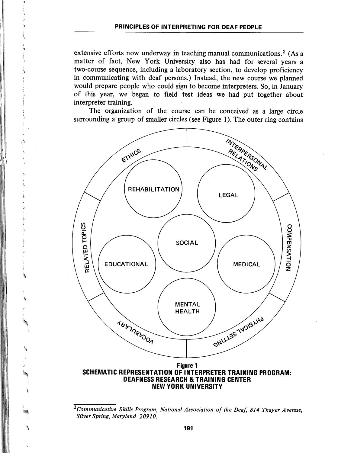extensive efforts now underway in teaching manual communications.<sup>2</sup> (As a matter of fact, New York University also has had for several years a two-course sequence, including a laboratory section, to develop proficiency in communicating with deaf persons.) Instead, the new course we planned would prepare people who could sign to become interpreters. So, in January of this year, we began to field test ideas we had put together about interpreter training.

The organization of the course can be conceived as a large circle surrounding a group of smaller circles (see Figure 1). The outer ring contains

L



SCHEMATIC REPRESENTATION OF INTERPRETER TRAINING PROGRAM: DEAFNESS RESEARCH & TRAINING CENTER NEW YORK UNIVERSITY

 $\overline{c_{\textit{Commnicative}}$  Skills Program, National Association of the Deaf, 814 Thayer Avenue, Silver Spring, Maryland 20910.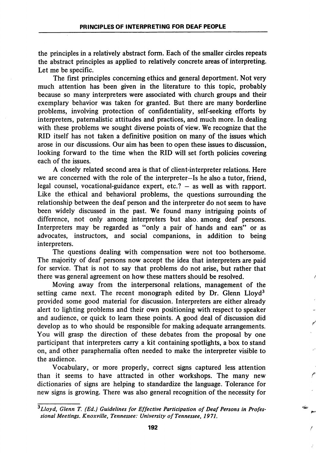the principles in a relatively abstract form. Each of the smaller circles repeats the abstract principles as applied to relatively concrete areas of interpreting. Let me be specific.

The first principles concerning ethics and general deportment. Not very much attention has been given in the literature to this topic, probably because so many interpreters were associated with church groups and their exemplary behavior was taken for granted. But there are many borderline problems, involving protection of confidentiality, self-seeking efforts by interpreters, paternalistic attitudes and practices, and much more. In dealing with these problems we sought diverse points of view. We recognize that the RID itself has not taken a definitive position on many of the issues which arose in our discussions. Our aim has been to open these issues to discussion, looking forward to the time when the RID will set forth policies covering each of the issues.

A closely related second area is that of client-interpreter relations. Here we are concerned with the role of the interpreter—Is he also a tutor, friend, legal counsel, vocational-guidance expert, etc.? — as well as with rapport. Like the ethical and behavioral problems, the questions surrounding the relationship between the deaf person and the interpreter do not seem to have been widely discussed in the past. We found many intriguing points of difference, not only among interpreters but also, among deaf persons. Interpreters may be regarded as "only a pair of hands and ears" or as advocates, instructors, and social companions, in addition to being interpreters.

The questions dealing with compensation were not too bothersome. The majority of deaf persons now accept the idea that interpreters are paid for service. That is not to say that problems do not arise, but rather that there was general agreement on how these matters should be resolved.

Moving away from the interpersonal relations, management of the setting came next. The recent monograph edited by Dr. Glenn Lloyd<sup>3</sup> provided some good material for discussion. Interpreters are either already alert to lighting problems and their own positioning with respect to speaker and audience, or quick to learn these points. A good deal of discussion did develop as to who should be responsible for making adequate arrangements. You will grasp the direction of these debates from the proposal by one participant that interpreters carry a kit containing spotlights, a box to stand on, and other paraphernalia often needed to make the interpreter visible to the audience.

Vocabulary, or more properly, correct signs captured less attention than it seems to have attracted in other workshops. The many new dictionaries of signs are helping to standardize the language. Tolerance for new signs is growing. There was also general recognition of the necessity for

 $3$ Lloyd, Glenn T. (Ed.) Guidelines for Effective Participation of Deaf Persons in Professional Meetings. Knoxville, Tennessee: University of Tennessee, 1971.